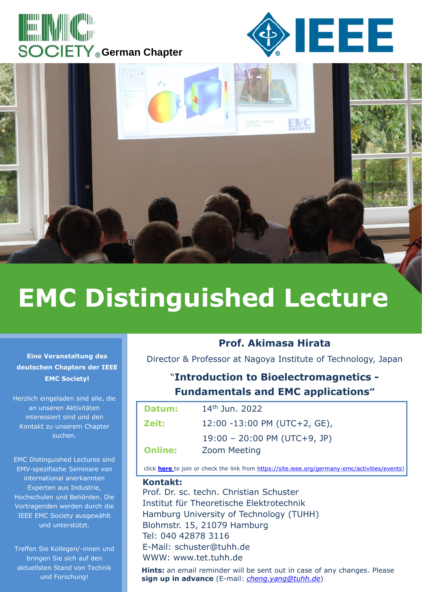





# **EMC Distinguished Lecture**

**Eine Veranstaltung des deutschen Chapters der IEEE EMC Society!**

Herzlich eingeladen sind alle, die an unseren Aktivitäten interessiert sind und den Kontakt zu unserem Chapter suchen.

EMC Distinguished Lectures sind EMV-spezifische Seminare von international anerkannten Experten aus Industrie, Hochschulen und Behörden. Die Vortragenden werden durch die IEEE EMC Society ausgewählt und unterstützt.

Treffen Sie Kollegen/-innen und bringen Sie sich auf den aktuellsten Stand von Technik und Forschung!

#### **Prof. Akimasa Hirata**

Director & Professor at Nagoya Institute of Technology, Japan

## "**Introduction to Bioelectromagnetics - Fundamentals and EMC applications"**

| Datum:         | $14th$ Jun. 2022                       |
|----------------|----------------------------------------|
| Zeit:          | $12:00 - 13:00$ PM (UTC+2, GE),        |
|                | $19:00 - 20:00 \text{ PM} (UTC+9, JP)$ |
| <b>Online:</b> | <b>Zoom Meeting</b>                    |

click **[here](https://tuhh.zoom.us/j/3212339859?pwd=RzVsdVBHdHVRY0hRMlNWdXNRaHVmUT09)** [t](https://tuhh.zoom.us/j/3212339859?pwd=RzVsdVBHdHVRY0hRMlNWdXNRaHVmUT09)o join or check the link from [https://site.ieee.org/germany-emc/activities/events\)](https://site.ieee.org/germany-emc/activities/events)

#### **Kontakt:**

Prof. Dr. sc. techn. Christian Schuster Institut für Theoretische Elektrotechnik Hamburg University of Technology (TUHH) Blohmstr. 15, 21079 Hamburg Tel: 040 42878 3116 E-Mail: schuster@tuhh.de WWW: www.tet.tuhh.de

**Hints:** an email reminder will be sent out in case of any changes. Please **sign up in advance** (E-mail: *[cheng.yang@tuhh.de](mailto:cheng.yang@tuhh.de)*)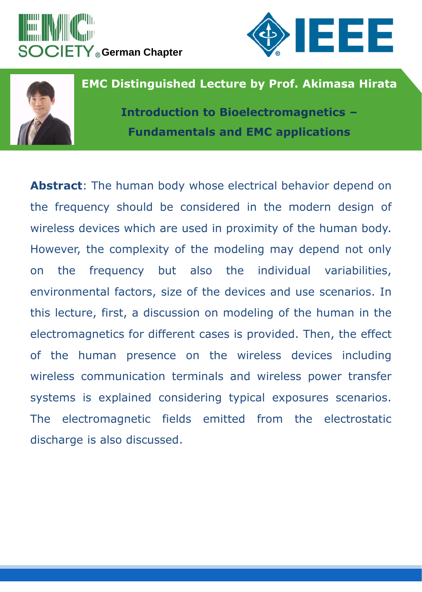





## **EMC Distinguished Lecture by Prof. Akimasa Hirata**

**Introduction to Bioelectromagnetics – Fundamentals and EMC applications**

**Abstract**: The human body whose electrical behavior depend on the frequency should be considered in the modern design of wireless devices which are used in proximity of the human body. However, the complexity of the modeling may depend not only on the frequency but also the individual variabilities, environmental factors, size of the devices and use scenarios. In this lecture, first, a discussion on modeling of the human in the electromagnetics for different cases is provided. Then, the effect of the human presence on the wireless devices including wireless communication terminals and wireless power transfer systems is explained considering typical exposures scenarios. The electromagnetic fields emitted from the electrostatic discharge is also discussed.